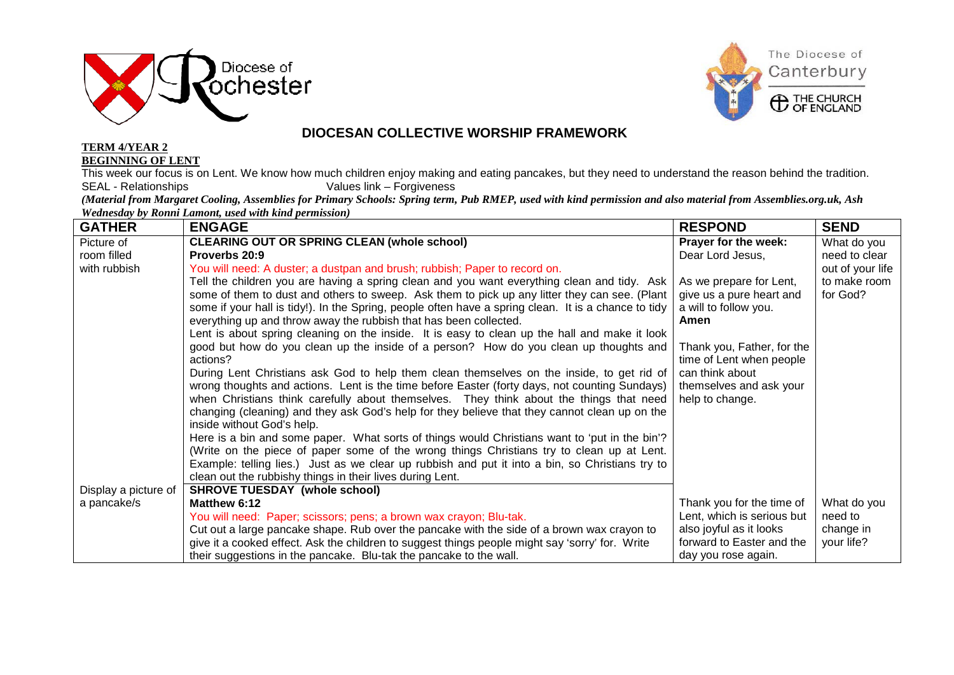



## **DIOCESAN COLLECTIVE WORSHIP FRAMEWORK**

**TERM 4/YEAR 2 BEGINNING OF LENT**

This week our focus is on Lent. We know how much children enjoy making and eating pancakes, but they need to understand the reason behind the tradition.<br>SEAL - Relationships Values link – Forgiveness Values link – Forgiveness

*(Material from Margaret Cooling, Assemblies for Primary Schools: Spring term, Pub RMEP, used with kind permission and also material from Assemblies.org.uk, Ash Wednesday by Ronni Lamont, used with kind permission)*

| <b>GATHER</b>        | <b>ENGAGE</b>                                                                                        | <b>RESPOND</b>             | <b>SEND</b>      |
|----------------------|------------------------------------------------------------------------------------------------------|----------------------------|------------------|
| Picture of           | <b>CLEARING OUT OR SPRING CLEAN (whole school)</b>                                                   | Prayer for the week:       | What do you      |
| room filled          | Proverbs 20:9                                                                                        | Dear Lord Jesus,           | need to clear    |
| with rubbish         | You will need: A duster; a dustpan and brush; rubbish; Paper to record on.                           |                            | out of your life |
|                      | Tell the children you are having a spring clean and you want everything clean and tidy. Ask          | As we prepare for Lent,    | to make room     |
|                      | some of them to dust and others to sweep. Ask them to pick up any litter they can see. (Plant        | give us a pure heart and   | for God?         |
|                      | some if your hall is tidy!). In the Spring, people often have a spring clean. It is a chance to tidy | a will to follow you.      |                  |
|                      | everything up and throw away the rubbish that has been collected.                                    | Amen                       |                  |
|                      | Lent is about spring cleaning on the inside. It is easy to clean up the hall and make it look        |                            |                  |
|                      | good but how do you clean up the inside of a person? How do you clean up thoughts and                | Thank you, Father, for the |                  |
|                      | actions?                                                                                             | time of Lent when people   |                  |
|                      | During Lent Christians ask God to help them clean themselves on the inside, to get rid of            | can think about            |                  |
|                      | wrong thoughts and actions. Lent is the time before Easter (forty days, not counting Sundays)        | themselves and ask your    |                  |
|                      | when Christians think carefully about themselves. They think about the things that need              | help to change.            |                  |
|                      | changing (cleaning) and they ask God's help for they believe that they cannot clean up on the        |                            |                  |
|                      | inside without God's help.                                                                           |                            |                  |
|                      | Here is a bin and some paper. What sorts of things would Christians want to 'put in the bin'?        |                            |                  |
|                      | (Write on the piece of paper some of the wrong things Christians try to clean up at Lent.            |                            |                  |
|                      | Example: telling lies.) Just as we clear up rubbish and put it into a bin, so Christians try to      |                            |                  |
|                      | clean out the rubbishy things in their lives during Lent.                                            |                            |                  |
| Display a picture of | <b>SHROVE TUESDAY (whole school)</b>                                                                 |                            |                  |
| a pancake/s          | Matthew 6:12                                                                                         | Thank you for the time of  | What do you      |
|                      | You will need: Paper; scissors; pens; a brown wax crayon; Blu-tak.                                   | Lent, which is serious but | need to          |
|                      | Cut out a large pancake shape. Rub over the pancake with the side of a brown wax crayon to           | also joyful as it looks    | change in        |
|                      | give it a cooked effect. Ask the children to suggest things people might say 'sorry' for. Write      | forward to Easter and the  | your life?       |
|                      | their suggestions in the pancake. Blu-tak the pancake to the wall.                                   | day you rose again.        |                  |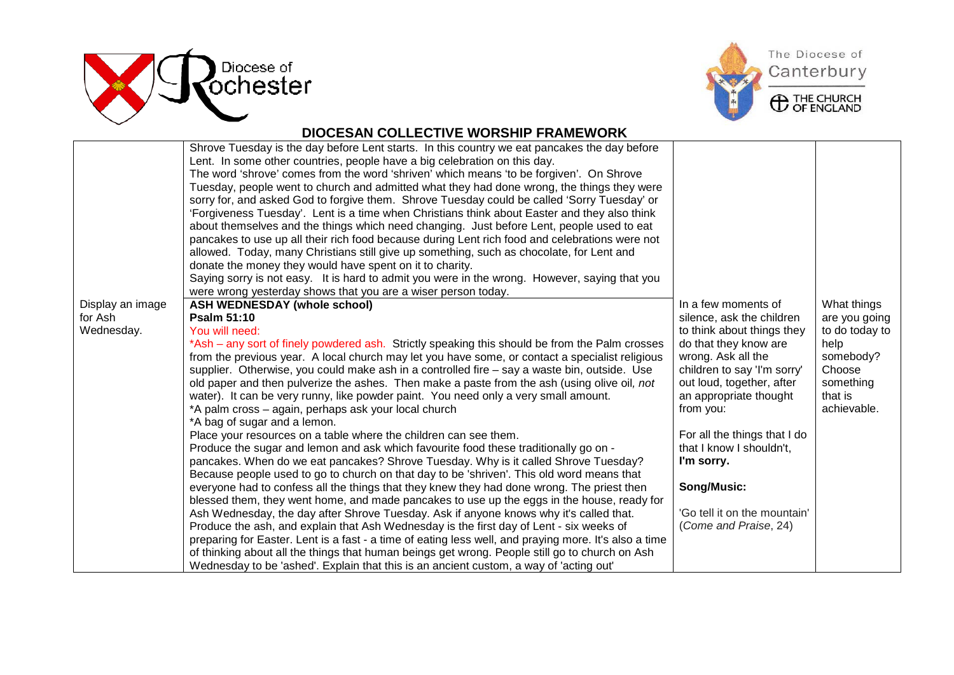



## **DIOCESAN COLLECTIVE WORSHIP FRAMEWORK**

|                  | Shrove Tuesday is the day before Lent starts. In this country we eat pancakes the day before<br>Lent. In some other countries, people have a big celebration on this day.<br>The word 'shrove' comes from the word 'shriven' which means 'to be forgiven'. On Shrove |                              |                |
|------------------|----------------------------------------------------------------------------------------------------------------------------------------------------------------------------------------------------------------------------------------------------------------------|------------------------------|----------------|
|                  | Tuesday, people went to church and admitted what they had done wrong, the things they were                                                                                                                                                                           |                              |                |
|                  | sorry for, and asked God to forgive them. Shrove Tuesday could be called 'Sorry Tuesday' or                                                                                                                                                                          |                              |                |
|                  | 'Forgiveness Tuesday'. Lent is a time when Christians think about Easter and they also think                                                                                                                                                                         |                              |                |
|                  | about themselves and the things which need changing. Just before Lent, people used to eat                                                                                                                                                                            |                              |                |
|                  | pancakes to use up all their rich food because during Lent rich food and celebrations were not                                                                                                                                                                       |                              |                |
|                  | allowed. Today, many Christians still give up something, such as chocolate, for Lent and                                                                                                                                                                             |                              |                |
|                  | donate the money they would have spent on it to charity.                                                                                                                                                                                                             |                              |                |
|                  | Saying sorry is not easy. It is hard to admit you were in the wrong. However, saying that you                                                                                                                                                                        |                              |                |
|                  | were wrong yesterday shows that you are a wiser person today.                                                                                                                                                                                                        |                              |                |
| Display an image | <b>ASH WEDNESDAY (whole school)</b>                                                                                                                                                                                                                                  | In a few moments of          | What things    |
| for Ash          | <b>Psalm 51:10</b>                                                                                                                                                                                                                                                   | silence, ask the children    | are you going  |
| Wednesday.       | You will need:                                                                                                                                                                                                                                                       | to think about things they   | to do today to |
|                  | *Ash – any sort of finely powdered ash. Strictly speaking this should be from the Palm crosses                                                                                                                                                                       | do that they know are        | help           |
|                  | from the previous year. A local church may let you have some, or contact a specialist religious                                                                                                                                                                      | wrong. Ask all the           | somebody?      |
|                  | supplier. Otherwise, you could make ash in a controlled fire - say a waste bin, outside. Use                                                                                                                                                                         | children to say 'I'm sorry'  | Choose         |
|                  | old paper and then pulverize the ashes. Then make a paste from the ash (using olive oil, not                                                                                                                                                                         | out loud, together, after    | something      |
|                  | water). It can be very runny, like powder paint. You need only a very small amount.                                                                                                                                                                                  | an appropriate thought       | that is        |
|                  | *A palm cross - again, perhaps ask your local church                                                                                                                                                                                                                 | from you:                    | achievable.    |
|                  | *A bag of sugar and a lemon.                                                                                                                                                                                                                                         |                              |                |
|                  | Place your resources on a table where the children can see them.                                                                                                                                                                                                     | For all the things that I do |                |
|                  | Produce the sugar and lemon and ask which favourite food these traditionally go on -                                                                                                                                                                                 | that I know I shouldn't,     |                |
|                  | pancakes. When do we eat pancakes? Shrove Tuesday. Why is it called Shrove Tuesday?                                                                                                                                                                                  | I'm sorry.                   |                |
|                  | Because people used to go to church on that day to be 'shriven'. This old word means that                                                                                                                                                                            |                              |                |
|                  | everyone had to confess all the things that they knew they had done wrong. The priest then                                                                                                                                                                           | Song/Music:                  |                |
|                  | blessed them, they went home, and made pancakes to use up the eggs in the house, ready for                                                                                                                                                                           | 'Go tell it on the mountain' |                |
|                  | Ash Wednesday, the day after Shrove Tuesday. Ask if anyone knows why it's called that.<br>Produce the ash, and explain that Ash Wednesday is the first day of Lent - six weeks of                                                                                    | (Come and Praise, 24)        |                |
|                  | preparing for Easter. Lent is a fast - a time of eating less well, and praying more. It's also a time                                                                                                                                                                |                              |                |
|                  | of thinking about all the things that human beings get wrong. People still go to church on Ash                                                                                                                                                                       |                              |                |
|                  | Wednesday to be 'ashed'. Explain that this is an ancient custom, a way of 'acting out'                                                                                                                                                                               |                              |                |
|                  |                                                                                                                                                                                                                                                                      |                              |                |